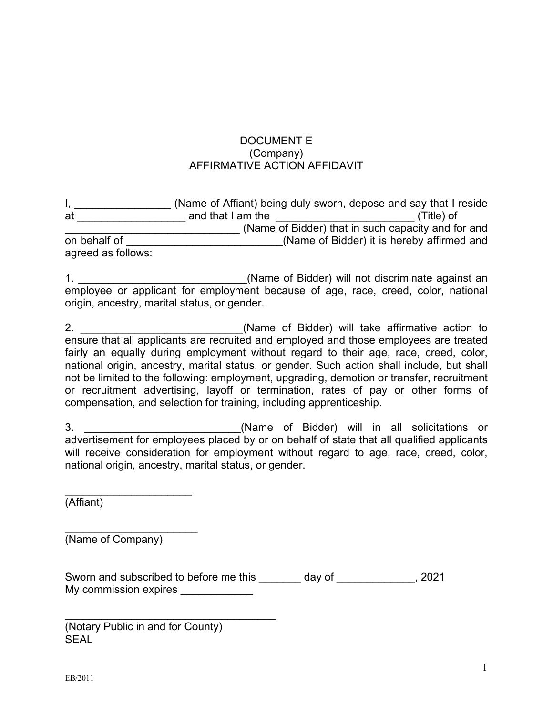## DOCUMENT E (Company) AFFIRMATIVE ACTION AFFIDAVIT

|                    | (Name of Affiant) being duly sworn, depose and say that I reside |                                                    |
|--------------------|------------------------------------------------------------------|----------------------------------------------------|
| at                 | and that I am the                                                | (Title) of                                         |
|                    |                                                                  | (Name of Bidder) that in such capacity and for and |
| on behalf of       |                                                                  | (Name of Bidder) it is hereby affirmed and         |
| agreed as follows: |                                                                  |                                                    |

1. \_\_\_\_\_\_\_\_\_\_\_\_\_\_\_\_\_\_\_\_\_\_\_\_\_\_\_\_(Name of Bidder) will not discriminate against an employee or applicant for employment because of age, race, creed, color, national origin, ancestry, marital status, or gender.

2. \_\_\_\_\_\_\_\_\_\_\_\_\_\_\_\_\_\_\_\_\_\_\_\_\_\_\_(Name of Bidder) will take affirmative action to ensure that all applicants are recruited and employed and those employees are treated fairly an equally during employment without regard to their age, race, creed, color, national origin, ancestry, marital status, or gender. Such action shall include, but shall not be limited to the following: employment, upgrading, demotion or transfer, recruitment or recruitment advertising, layoff or termination, rates of pay or other forms of compensation, and selection for training, including apprenticeship.

3. **3. Example 20 CONFIDENT CONTROLLER CONTROLLER (Name of Bidder) will in all solicitations or** advertisement for employees placed by or on behalf of state that all qualified applicants will receive consideration for employment without regard to age, race, creed, color, national origin, ancestry, marital status, or gender.

 $\overline{\phantom{a}}$  , where  $\overline{\phantom{a}}$  , where  $\overline{\phantom{a}}$  , where  $\overline{\phantom{a}}$  ,  $\overline{\phantom{a}}$  ,  $\overline{\phantom{a}}$  ,  $\overline{\phantom{a}}$  ,  $\overline{\phantom{a}}$  ,  $\overline{\phantom{a}}$  ,  $\overline{\phantom{a}}$  ,  $\overline{\phantom{a}}$  ,  $\overline{\phantom{a}}$  ,  $\overline{\phantom{a}}$  ,  $\overline{\phantom{a}}$  ,  $\overline{\phantom$ (Affiant)

\_\_\_\_\_\_\_\_\_\_\_\_\_\_\_\_\_\_\_\_\_\_ (Name of Company)

Sworn and subscribed to before me this day of the set of the set of the set of the set of the set of the set o My commission expires \_\_\_\_\_\_\_\_\_\_\_\_

(Notary Public in and for County) SEAL

\_\_\_\_\_\_\_\_\_\_\_\_\_\_\_\_\_\_\_\_\_\_\_\_\_\_\_\_\_\_\_\_\_\_\_